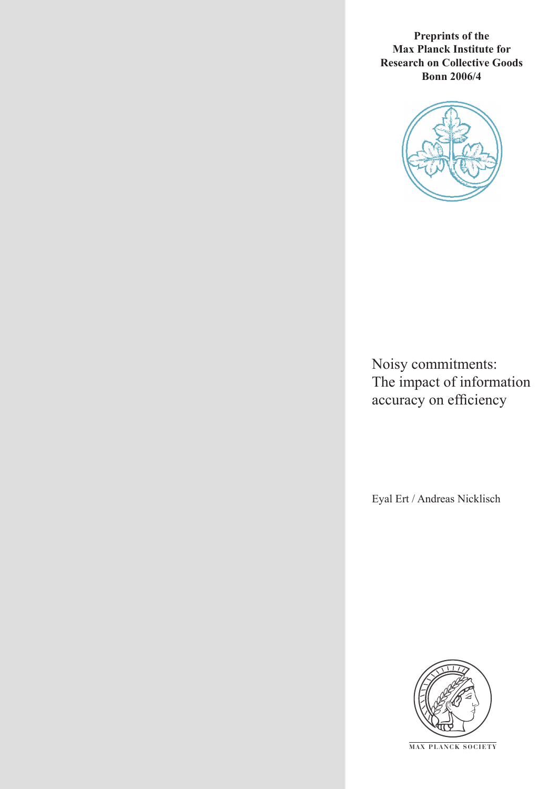**Preprints of the Max Planck Institute for Research on Collective Goods Bonn 2006/4**



Noisy commitments: The impact of information accuracy on efficiency

Eyal Ert / Andreas Nicklisch



**M AX P L A N C K S O C I E T Y**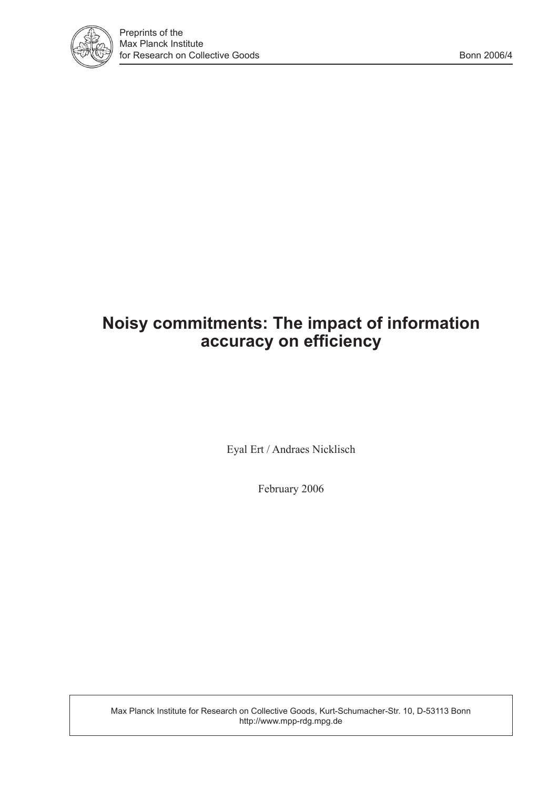

# **Noisy commitments: The impact of information accuracy on efficiency**

Eyal Ert / Andraes Nicklisch

February 2006

Max Planck Institute for Research on Collective Goods, Kurt-Schumacher-Str. 10, D-53113 Bonn http://www.mpp-rdg.mpg.de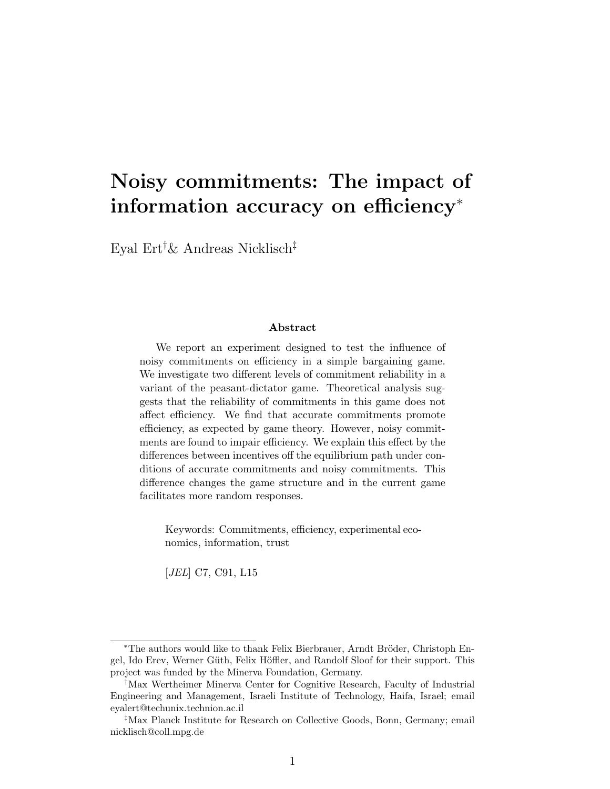## Noisy commitments: The impact of information accuracy on efficiency<sup>∗</sup>

Eyal Ert†& Andreas Nicklisch‡

#### Abstract

We report an experiment designed to test the influence of noisy commitments on efficiency in a simple bargaining game. We investigate two different levels of commitment reliability in a variant of the peasant-dictator game. Theoretical analysis suggests that the reliability of commitments in this game does not affect efficiency. We find that accurate commitments promote efficiency, as expected by game theory. However, noisy commitments are found to impair efficiency. We explain this effect by the differences between incentives off the equilibrium path under conditions of accurate commitments and noisy commitments. This difference changes the game structure and in the current game facilitates more random responses.

Keywords: Commitments, efficiency, experimental economics, information, trust

[JEL] C7, C91, L15

<sup>\*</sup>The authors would like to thank Felix Bierbrauer, Arndt Bröder, Christoph Engel, Ido Erev, Werner Güth, Felix Höffler, and Randolf Sloof for their support. This project was funded by the Minerva Foundation, Germany.

<sup>†</sup>Max Wertheimer Minerva Center for Cognitive Research, Faculty of Industrial Engineering and Management, Israeli Institute of Technology, Haifa, Israel; email eyalert@techunix.technion.ac.il

<sup>‡</sup>Max Planck Institute for Research on Collective Goods, Bonn, Germany; email nicklisch@coll.mpg.de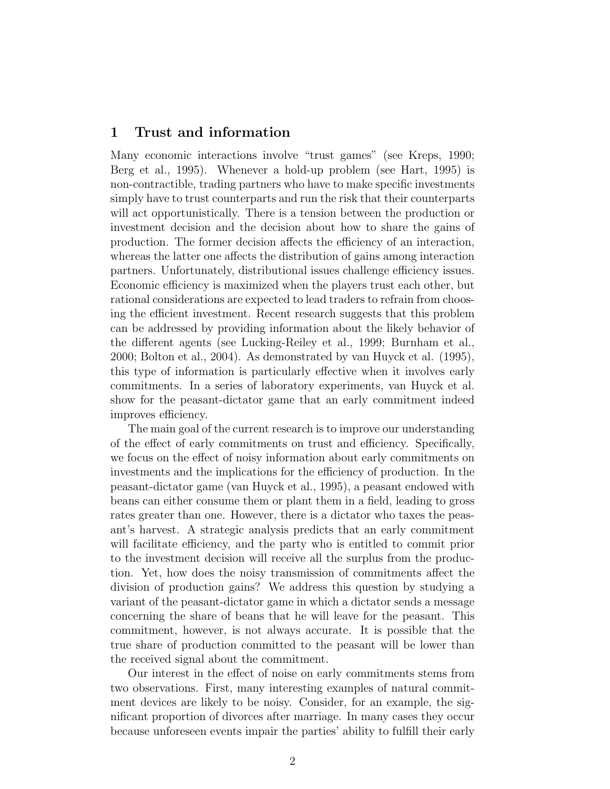## 1 Trust and information

Many economic interactions involve "trust games" (see Kreps, 1990; Berg et al., 1995). Whenever a hold-up problem (see Hart, 1995) is non-contractible, trading partners who have to make specific investments simply have to trust counterparts and run the risk that their counterparts will act opportunistically. There is a tension between the production or investment decision and the decision about how to share the gains of production. The former decision affects the efficiency of an interaction, whereas the latter one affects the distribution of gains among interaction partners. Unfortunately, distributional issues challenge efficiency issues. Economic efficiency is maximized when the players trust each other, but rational considerations are expected to lead traders to refrain from choosing the efficient investment. Recent research suggests that this problem can be addressed by providing information about the likely behavior of the different agents (see Lucking-Reiley et al., 1999; Burnham et al., 2000; Bolton et al., 2004). As demonstrated by van Huyck et al. (1995), this type of information is particularly effective when it involves early commitments. In a series of laboratory experiments, van Huyck et al. show for the peasant-dictator game that an early commitment indeed improves efficiency.

The main goal of the current research is to improve our understanding of the effect of early commitments on trust and efficiency. Specifically, we focus on the effect of noisy information about early commitments on investments and the implications for the efficiency of production. In the peasant-dictator game (van Huyck et al., 1995), a peasant endowed with beans can either consume them or plant them in a field, leading to gross rates greater than one. However, there is a dictator who taxes the peasant's harvest. A strategic analysis predicts that an early commitment will facilitate efficiency, and the party who is entitled to commit prior to the investment decision will receive all the surplus from the production. Yet, how does the noisy transmission of commitments affect the division of production gains? We address this question by studying a variant of the peasant-dictator game in which a dictator sends a message concerning the share of beans that he will leave for the peasant. This commitment, however, is not always accurate. It is possible that the true share of production committed to the peasant will be lower than the received signal about the commitment.

Our interest in the effect of noise on early commitments stems from two observations. First, many interesting examples of natural commitment devices are likely to be noisy. Consider, for an example, the significant proportion of divorces after marriage. In many cases they occur because unforeseen events impair the parties' ability to fulfill their early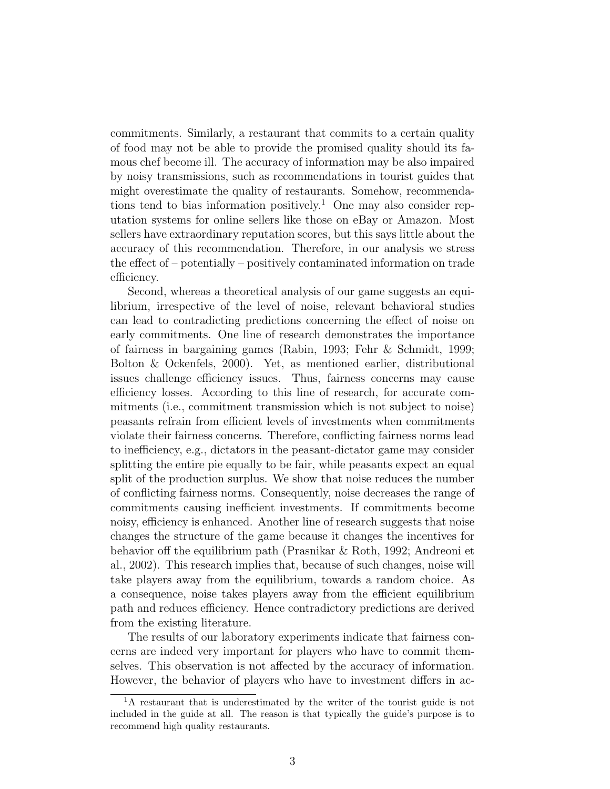commitments. Similarly, a restaurant that commits to a certain quality of food may not be able to provide the promised quality should its famous chef become ill. The accuracy of information may be also impaired by noisy transmissions, such as recommendations in tourist guides that might overestimate the quality of restaurants. Somehow, recommendations tend to bias information positively.<sup>1</sup> One may also consider reputation systems for online sellers like those on eBay or Amazon. Most sellers have extraordinary reputation scores, but this says little about the accuracy of this recommendation. Therefore, in our analysis we stress the effect of – potentially – positively contaminated information on trade efficiency.

Second, whereas a theoretical analysis of our game suggests an equilibrium, irrespective of the level of noise, relevant behavioral studies can lead to contradicting predictions concerning the effect of noise on early commitments. One line of research demonstrates the importance of fairness in bargaining games (Rabin, 1993; Fehr & Schmidt, 1999; Bolton & Ockenfels, 2000). Yet, as mentioned earlier, distributional issues challenge efficiency issues. Thus, fairness concerns may cause efficiency losses. According to this line of research, for accurate commitments (i.e., commitment transmission which is not subject to noise) peasants refrain from efficient levels of investments when commitments violate their fairness concerns. Therefore, conflicting fairness norms lead to inefficiency, e.g., dictators in the peasant-dictator game may consider splitting the entire pie equally to be fair, while peasants expect an equal split of the production surplus. We show that noise reduces the number of conflicting fairness norms. Consequently, noise decreases the range of commitments causing inefficient investments. If commitments become noisy, efficiency is enhanced. Another line of research suggests that noise changes the structure of the game because it changes the incentives for behavior off the equilibrium path (Prasnikar & Roth, 1992; Andreoni et al., 2002). This research implies that, because of such changes, noise will take players away from the equilibrium, towards a random choice. As a consequence, noise takes players away from the efficient equilibrium path and reduces efficiency. Hence contradictory predictions are derived from the existing literature.

The results of our laboratory experiments indicate that fairness concerns are indeed very important for players who have to commit themselves. This observation is not affected by the accuracy of information. However, the behavior of players who have to investment differs in ac-

<sup>&</sup>lt;sup>1</sup>A restaurant that is underestimated by the writer of the tourist guide is not included in the guide at all. The reason is that typically the guide's purpose is to recommend high quality restaurants.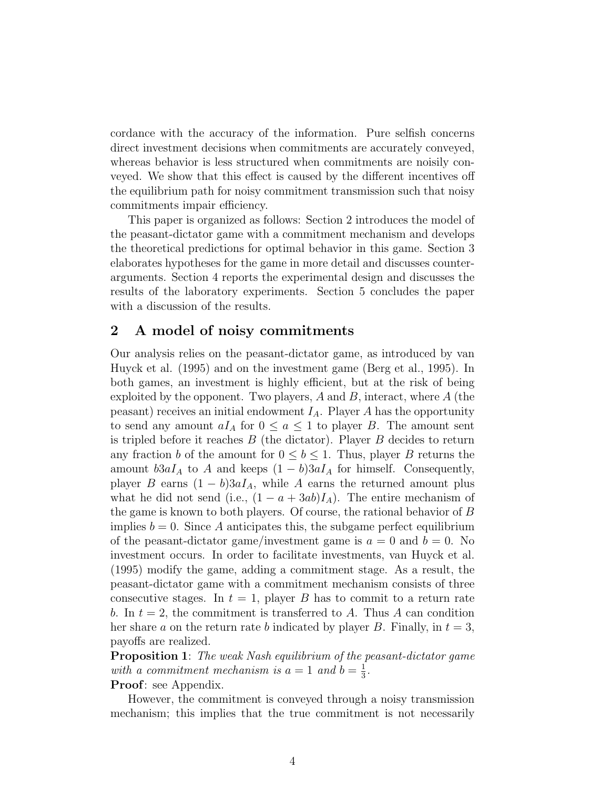cordance with the accuracy of the information. Pure selfish concerns direct investment decisions when commitments are accurately conveyed, whereas behavior is less structured when commitments are noisily conveyed. We show that this effect is caused by the different incentives off the equilibrium path for noisy commitment transmission such that noisy commitments impair efficiency.

This paper is organized as follows: Section 2 introduces the model of the peasant-dictator game with a commitment mechanism and develops the theoretical predictions for optimal behavior in this game. Section 3 elaborates hypotheses for the game in more detail and discusses counterarguments. Section 4 reports the experimental design and discusses the results of the laboratory experiments. Section 5 concludes the paper with a discussion of the results.

## 2 A model of noisy commitments

Our analysis relies on the peasant-dictator game, as introduced by van Huyck et al. (1995) and on the investment game (Berg et al., 1995). In both games, an investment is highly efficient, but at the risk of being exploited by the opponent. Two players,  $A$  and  $B$ , interact, where  $A$  (the peasant) receives an initial endowment  $I_A$ . Player A has the opportunity to send any amount  $aI_A$  for  $0 \le a \le 1$  to player B. The amount sent is tripled before it reaches  $B$  (the dictator). Player  $B$  decides to return any fraction b of the amount for  $0 \leq b \leq 1$ . Thus, player B returns the amount  $b3aI_A$  to A and keeps  $(1 - b)3aI_A$  for himself. Consequently, player B earns  $(1 - b)3aI_A$ , while A earns the returned amount plus what he did not send (i.e.,  $(1 - a + 3ab)I_A$ ). The entire mechanism of the game is known to both players. Of course, the rational behavior of B implies  $b = 0$ . Since A anticipates this, the subgame perfect equilibrium of the peasant-dictator game/investment game is  $a = 0$  and  $b = 0$ . No investment occurs. In order to facilitate investments, van Huyck et al. (1995) modify the game, adding a commitment stage. As a result, the peasant-dictator game with a commitment mechanism consists of three consecutive stages. In  $t = 1$ , player B has to commit to a return rate b. In  $t = 2$ , the commitment is transferred to A. Thus A can condition her share a on the return rate b indicated by player B. Finally, in  $t = 3$ , payoffs are realized.

**Proposition 1:** The weak Nash equilibrium of the peasant-dictator game with a commitment mechanism is  $a = 1$  and  $b = \frac{1}{3}$  $\frac{1}{3}$ .

Proof: see Appendix.

However, the commitment is conveyed through a noisy transmission mechanism; this implies that the true commitment is not necessarily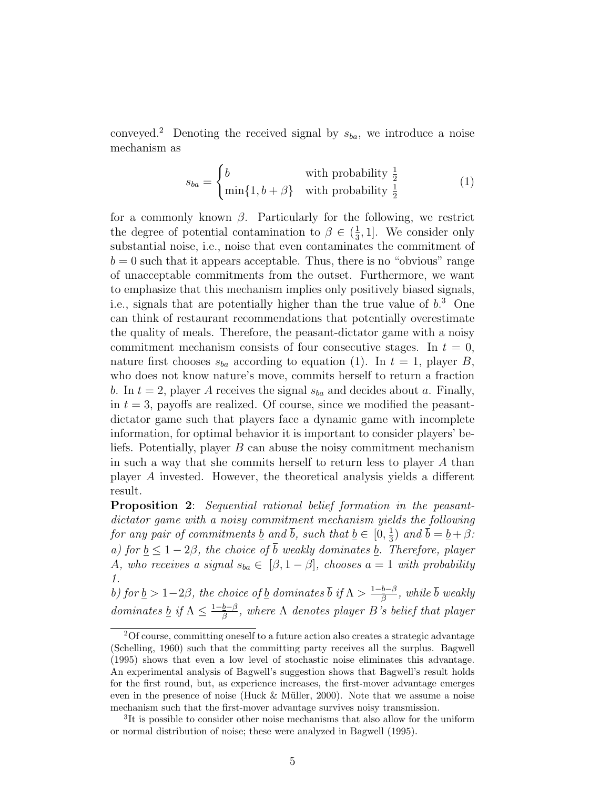conveyed.<sup>2</sup> Denoting the received signal by  $s_{ba}$ , we introduce a noise mechanism as

$$
s_{ba} = \begin{cases} b & \text{with probability } \frac{1}{2} \\ \min\{1, b + \beta\} & \text{with probability } \frac{1}{2} \end{cases}
$$
 (1)

for a commonly known  $\beta$ . Particularly for the following, we restrict the degree of potential contamination to  $\beta \in \left(\frac{1}{3}\right)$  $\frac{1}{3}$ , 1]. We consider only substantial noise, i.e., noise that even contaminates the commitment of  $b = 0$  such that it appears acceptable. Thus, there is no "obvious" range of unacceptable commitments from the outset. Furthermore, we want to emphasize that this mechanism implies only positively biased signals, i.e., signals that are potentially higher than the true value of  $b<sup>3</sup>$  One can think of restaurant recommendations that potentially overestimate the quality of meals. Therefore, the peasant-dictator game with a noisy commitment mechanism consists of four consecutive stages. In  $t = 0$ , nature first chooses  $s_{ba}$  according to equation (1). In  $t = 1$ , player B, who does not know nature's move, commits herself to return a fraction b. In  $t = 2$ , player A receives the signal  $s_{ba}$  and decides about a. Finally, in  $t = 3$ , payoffs are realized. Of course, since we modified the peasantdictator game such that players face a dynamic game with incomplete information, for optimal behavior it is important to consider players' beliefs. Potentially, player B can abuse the noisy commitment mechanism in such a way that she commits herself to return less to player A than player A invested. However, the theoretical analysis yields a different result.

**Proposition 2:** Sequential rational belief formation in the peasantdictator game with a noisy commitment mechanism yields the following for any pair of commitments <u>b</u> and  $\overline{b}$ , such that  $\underline{b} \in [0, \frac{1}{3}]$  $(\frac{1}{3})$  and  $b = \underline{b} + \beta$ : a) for  $b \leq 1-2\beta$ , the choice of  $\overline{b}$  weakly dominates b. Therefore, player A, who receives a signal  $s_{ba} \in [\beta, 1-\beta]$ , chooses  $a = 1$  with probability 1.

b) for  $\underline{b} > 1-2\beta$ , the choice of  $\underline{b}$  dominates  $\overline{b}$  if  $\Lambda > \frac{1-\underline{b}-\beta}{\beta}$  $\frac{\overline{b}-\beta}{\beta}$ , while  $b$  weakly dominates <u>b</u> if  $\Lambda \leq \frac{1-b-\beta}{\beta}$  $\frac{\overline{b}-\beta}{\beta}$ , where  $\Lambda$  denotes player B's belief that player

<sup>2</sup>Of course, committing oneself to a future action also creates a strategic advantage (Schelling, 1960) such that the committing party receives all the surplus. Bagwell (1995) shows that even a low level of stochastic noise eliminates this advantage. An experimental analysis of Bagwell's suggestion shows that Bagwell's result holds for the first round, but, as experience increases, the first-mover advantage emerges even in the presence of noise (Huck  $&$  Müller, 2000). Note that we assume a noise mechanism such that the first-mover advantage survives noisy transmission.

<sup>3</sup> It is possible to consider other noise mechanisms that also allow for the uniform or normal distribution of noise; these were analyzed in Bagwell (1995).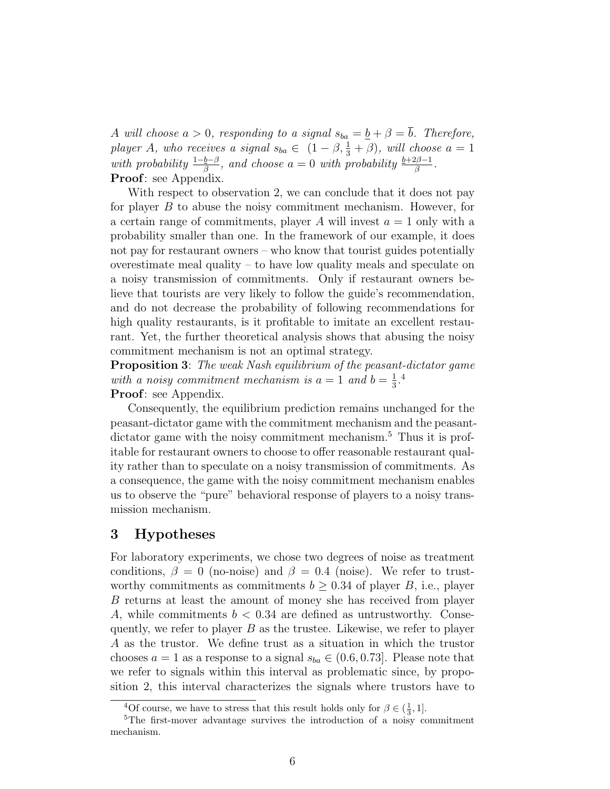A will choose  $a > 0$ , responding to a signal  $s_{ba} = \underline{b} + \beta = \overline{b}$ . Therefore, player A, who receives a signal  $s_{ba} \in (1 - \beta, \frac{1}{3} + \beta)$ , will choose  $a = 1$ with probability  $\frac{1-\underline{b}-\beta}{\beta}$ , and choose  $a=0$  with probability  $\frac{\underline{b}+2\beta-1}{\beta}$ . Proof: see Appendix.

With respect to observation 2, we can conclude that it does not pay for player  $B$  to abuse the noisy commitment mechanism. However, for a certain range of commitments, player  $A$  will invest  $a = 1$  only with a probability smaller than one. In the framework of our example, it does not pay for restaurant owners – who know that tourist guides potentially overestimate meal quality – to have low quality meals and speculate on a noisy transmission of commitments. Only if restaurant owners believe that tourists are very likely to follow the guide's recommendation, and do not decrease the probability of following recommendations for high quality restaurants, is it profitable to imitate an excellent restaurant. Yet, the further theoretical analysis shows that abusing the noisy commitment mechanism is not an optimal strategy.

**Proposition 3:** The weak Nash equilibrium of the peasant-dictator game with a noisy commitment mechanism is  $a = 1$  and  $b = \frac{1}{3}$  $\frac{1}{3}$ .<sup>4</sup> Proof: see Appendix.

Consequently, the equilibrium prediction remains unchanged for the peasant-dictator game with the commitment mechanism and the peasantdictator game with the noisy commitment mechanism.<sup>5</sup> Thus it is profitable for restaurant owners to choose to offer reasonable restaurant quality rather than to speculate on a noisy transmission of commitments. As a consequence, the game with the noisy commitment mechanism enables us to observe the "pure" behavioral response of players to a noisy transmission mechanism.

## 3 Hypotheses

For laboratory experiments, we chose two degrees of noise as treatment conditions,  $\beta = 0$  (no-noise) and  $\beta = 0.4$  (noise). We refer to trustworthy commitments as commitments  $b \geq 0.34$  of player B, i.e., player B returns at least the amount of money she has received from player A, while commitments  $b < 0.34$  are defined as untrustworthy. Consequently, we refer to player  $B$  as the trustee. Likewise, we refer to player A as the trustor. We define trust as a situation in which the trustor chooses  $a = 1$  as a response to a signal  $s_{ba} \in (0.6, 0.73]$ . Please note that we refer to signals within this interval as problematic since, by proposition 2, this interval characterizes the signals where trustors have to

<sup>&</sup>lt;sup>4</sup>Of course, we have to stress that this result holds only for  $\beta \in (\frac{1}{3}, 1]$ .

<sup>&</sup>lt;sup>5</sup>The first-mover advantage survives the introduction of a noisy commitment mechanism.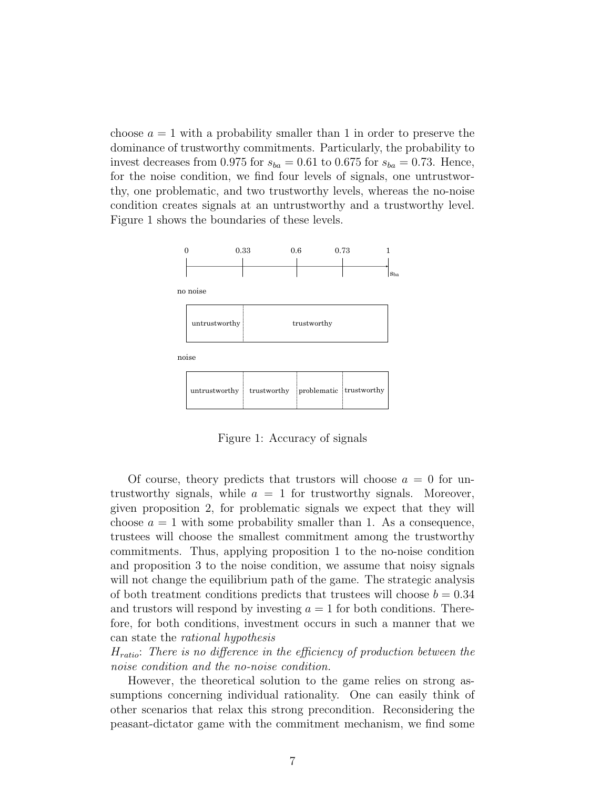choose  $a = 1$  with a probability smaller than 1 in order to preserve the dominance of trustworthy commitments. Particularly, the probability to invest decreases from 0.975 for  $s_{ba} = 0.61$  to 0.675 for  $s_{ba} = 0.73$ . Hence, for the noise condition, we find four levels of signals, one untrustworthy, one problematic, and two trustworthy levels, whereas the no-noise condition creates signals at an untrustworthy and a trustworthy level. Figure 1 shows the boundaries of these levels.



Figure 1: Accuracy of signals

Of course, theory predicts that trustors will choose  $a = 0$  for untrustworthy signals, while  $a = 1$  for trustworthy signals. Moreover, given proposition 2, for problematic signals we expect that they will choose  $a = 1$  with some probability smaller than 1. As a consequence, trustees will choose the smallest commitment among the trustworthy commitments. Thus, applying proposition 1 to the no-noise condition and proposition 3 to the noise condition, we assume that noisy signals will not change the equilibrium path of the game. The strategic analysis of both treatment conditions predicts that trustees will choose  $b = 0.34$ and trustors will respond by investing  $a = 1$  for both conditions. Therefore, for both conditions, investment occurs in such a manner that we can state the rational hypothesis

 $H_{ratio}$ : There is no difference in the efficiency of production between the noise condition and the no-noise condition.

However, the theoretical solution to the game relies on strong assumptions concerning individual rationality. One can easily think of other scenarios that relax this strong precondition. Reconsidering the peasant-dictator game with the commitment mechanism, we find some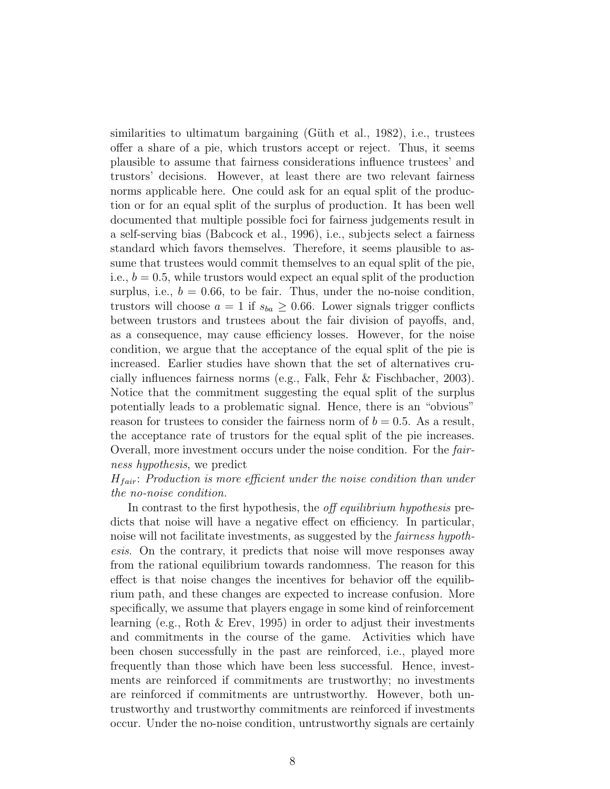similarities to ultimatum bargaining (Güth et al., 1982), i.e., trustees offer a share of a pie, which trustors accept or reject. Thus, it seems plausible to assume that fairness considerations influence trustees' and trustors' decisions. However, at least there are two relevant fairness norms applicable here. One could ask for an equal split of the production or for an equal split of the surplus of production. It has been well documented that multiple possible foci for fairness judgements result in a self-serving bias (Babcock et al., 1996), i.e., subjects select a fairness standard which favors themselves. Therefore, it seems plausible to assume that trustees would commit themselves to an equal split of the pie, i.e.,  $b = 0.5$ , while trustors would expect an equal split of the production surplus, i.e.,  $b = 0.66$ , to be fair. Thus, under the no-noise condition, trustors will choose  $a = 1$  if  $s_{ba} \geq 0.66$ . Lower signals trigger conflicts between trustors and trustees about the fair division of payoffs, and, as a consequence, may cause efficiency losses. However, for the noise condition, we argue that the acceptance of the equal split of the pie is increased. Earlier studies have shown that the set of alternatives crucially influences fairness norms (e.g., Falk, Fehr & Fischbacher, 2003). Notice that the commitment suggesting the equal split of the surplus potentially leads to a problematic signal. Hence, there is an "obvious" reason for trustees to consider the fairness norm of  $b = 0.5$ . As a result, the acceptance rate of trustors for the equal split of the pie increases. Overall, more investment occurs under the noise condition. For the fairness hypothesis, we predict

### $H_{fair}$ : Production is more efficient under the noise condition than under the no-noise condition.

In contrast to the first hypothesis, the *off equilibrium hypothesis* predicts that noise will have a negative effect on efficiency. In particular, noise will not facilitate investments, as suggested by the fairness hypothesis. On the contrary, it predicts that noise will move responses away from the rational equilibrium towards randomness. The reason for this effect is that noise changes the incentives for behavior off the equilibrium path, and these changes are expected to increase confusion. More specifically, we assume that players engage in some kind of reinforcement learning (e.g., Roth & Erev, 1995) in order to adjust their investments and commitments in the course of the game. Activities which have been chosen successfully in the past are reinforced, i.e., played more frequently than those which have been less successful. Hence, investments are reinforced if commitments are trustworthy; no investments are reinforced if commitments are untrustworthy. However, both untrustworthy and trustworthy commitments are reinforced if investments occur. Under the no-noise condition, untrustworthy signals are certainly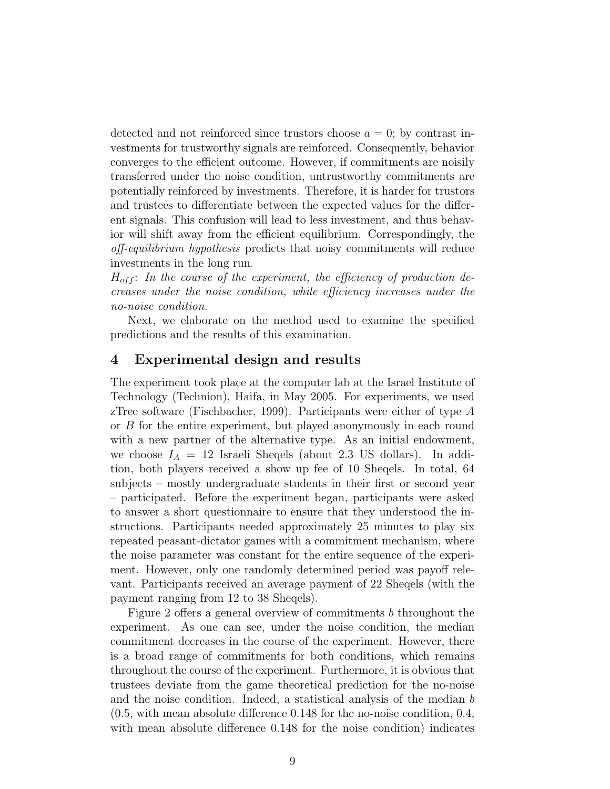detected and not reinforced since trustors choose  $a = 0$ ; by contrast investments for trustworthy signals are reinforced. Consequently, behavior converges to the efficient outcome. However, if commitments are noisily transferred under the noise condition, untrustworthy commitments are potentially reinforced by investments. Therefore, it is harder for trustors and trustees to differentiate between the expected values for the different signals. This confusion will lead to less investment, and thus behavior will shift away from the efficient equilibrium. Correspondingly, the off-equilibrium hypothesis predicts that noisy commitments will reduce investments in the long run.

 $H_{off}$ : In the course of the experiment, the efficiency of production decreases under the noise condition, while efficiency increases under the no-noise condition.

Next, we elaborate on the method used to examine the specified predictions and the results of this examination.

## 4 Experimental design and results

The experiment took place at the computer lab at the Israel Institute of Technology (Technion), Haifa, in May 2005. For experiments, we used zTree software (Fischbacher, 1999). Participants were either of type A or B for the entire experiment, but played anonymously in each round with a new partner of the alternative type. As an initial endowment, we choose  $I_A = 12$  Israeli Sheqels (about 2.3 US dollars). In addition, both players received a show up fee of 10 Sheqels. In total, 64 subjects – mostly undergraduate students in their first or second year – participated. Before the experiment began, participants were asked to answer a short questionnaire to ensure that they understood the instructions. Participants needed approximately 25 minutes to play six repeated peasant-dictator games with a commitment mechanism, where the noise parameter was constant for the entire sequence of the experiment. However, only one randomly determined period was payoff relevant. Participants received an average payment of 22 Sheqels (with the payment ranging from 12 to 38 Sheqels).

Figure 2 offers a general overview of commitments b throughout the experiment. As one can see, under the noise condition, the median commitment decreases in the course of the experiment. However, there is a broad range of commitments for both conditions, which remains throughout the course of the experiment. Furthermore, it is obvious that trustees deviate from the game theoretical prediction for the no-noise and the noise condition. Indeed, a statistical analysis of the median b (0.5, with mean absolute difference 0.148 for the no-noise condition, 0.4, with mean absolute difference  $0.148$  for the noise condition) indicates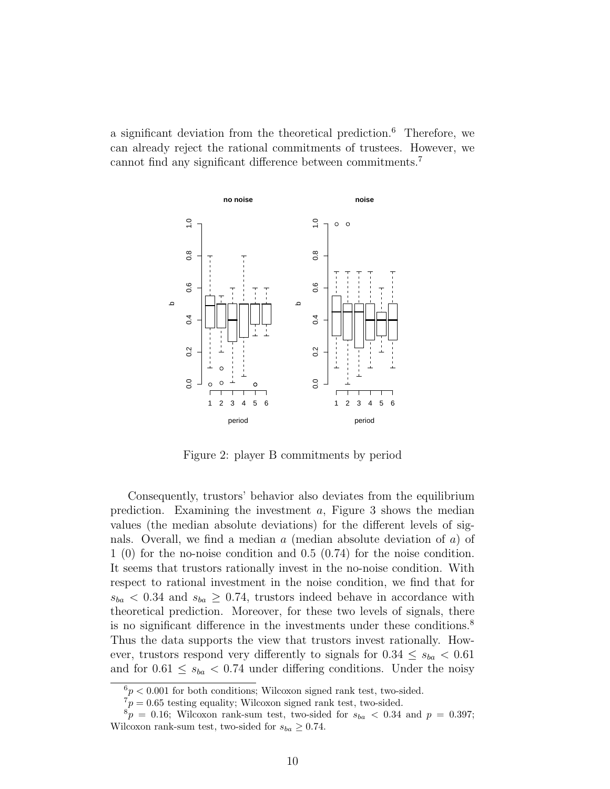a significant deviation from the theoretical prediction.<sup>6</sup> Therefore, we can already reject the rational commitments of trustees. However, we cannot find any significant difference between commitments.<sup>7</sup>



Figure 2: player B commitments by period

Consequently, trustors' behavior also deviates from the equilibrium prediction. Examining the investment a, Figure 3 shows the median values (the median absolute deviations) for the different levels of signals. Overall, we find a median a (median absolute deviation of a) of 1 (0) for the no-noise condition and 0.5 (0.74) for the noise condition. It seems that trustors rationally invest in the no-noise condition. With respect to rational investment in the noise condition, we find that for  $s_{ba}$  < 0.34 and  $s_{ba} \geq 0.74$ , trustors indeed behave in accordance with theoretical prediction. Moreover, for these two levels of signals, there is no significant difference in the investments under these conditions.<sup>8</sup> Thus the data supports the view that trustors invest rationally. However, trustors respond very differently to signals for  $0.34 \leq s_{ba} < 0.61$ and for  $0.61 \leq s_{ba} < 0.74$  under differing conditions. Under the noisy

 $6p < 0.001$  for both conditions; Wilcoxon signed rank test, two-sided.

 $\tau_p$  = 0.65 testing equality; Wilcoxon signed rank test, two-sided.

 $8p = 0.16$ ; Wilcoxon rank-sum test, two-sided for  $s_{ba} < 0.34$  and  $p = 0.397$ ; Wilcoxon rank-sum test, two-sided for  $s_{ba} \geq 0.74$ .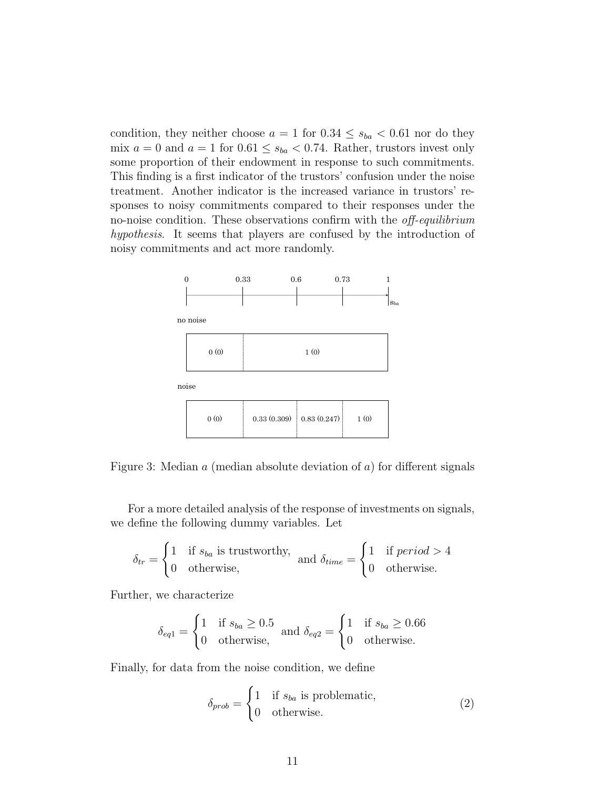condition, they neither choose  $a = 1$  for  $0.34 \leq s_{ba} < 0.61$  nor do they mix  $a = 0$  and  $a = 1$  for  $0.61 \le s_{ba} < 0.74$ . Rather, trustors invest only some proportion of their endowment in response to such commitments. This finding is a first indicator of the trustors' confusion under the noise treatment. Another indicator is the increased variance in trustors' responses to noisy commitments compared to their responses under the no-noise condition. These observations confirm with the off-equilibrium hypothesis. It seems that players are confused by the introduction of noisy commitments and act more randomly.



Figure 3: Median  $a$  (median absolute deviation of  $a$ ) for different signals

For a more detailed analysis of the response of investments on signals, we define the following dummy variables. Let

$$
\delta_{tr} = \begin{cases} 1 & \text{if } s_{ba} \text{ is trustworthy,} \\ 0 & \text{otherwise,} \end{cases} \text{ and } \delta_{time} = \begin{cases} 1 & \text{if period } > 4 \\ 0 & \text{otherwise.} \end{cases}
$$

Further, we characterize

$$
\delta_{eq1} = \begin{cases} 1 & \text{if } s_{ba} \ge 0.5 \\ 0 & \text{otherwise,} \end{cases} \text{ and } \delta_{eq2} = \begin{cases} 1 & \text{if } s_{ba} \ge 0.66 \\ 0 & \text{otherwise.} \end{cases}
$$

Finally, for data from the noise condition, we define

$$
\delta_{prob} = \begin{cases} 1 & \text{if } s_{ba} \text{ is problematic,} \\ 0 & \text{otherwise.} \end{cases}
$$
 (2)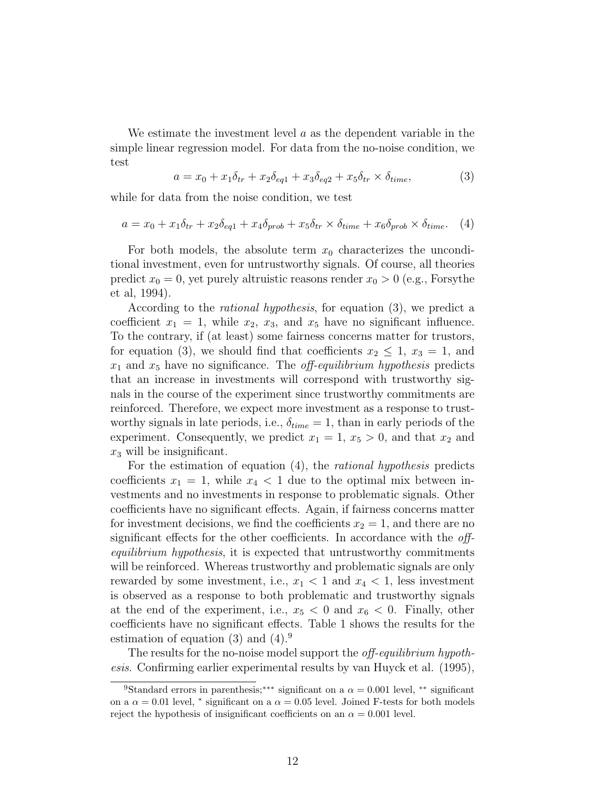We estimate the investment level  $\alpha$  as the dependent variable in the simple linear regression model. For data from the no-noise condition, we test

$$
a = x_0 + x_1 \delta_{tr} + x_2 \delta_{eq1} + x_3 \delta_{eq2} + x_5 \delta_{tr} \times \delta_{time},
$$
\n(3)

while for data from the noise condition, we test

$$
a = x_0 + x_1 \delta_{tr} + x_2 \delta_{eq1} + x_4 \delta_{prob} + x_5 \delta_{tr} \times \delta_{time} + x_6 \delta_{prob} \times \delta_{time}. \tag{4}
$$

For both models, the absolute term  $x_0$  characterizes the unconditional investment, even for untrustworthy signals. Of course, all theories predict  $x_0 = 0$ , yet purely altruistic reasons render  $x_0 > 0$  (e.g., Forsythe et al, 1994).

According to the rational hypothesis, for equation (3), we predict a coefficient  $x_1 = 1$ , while  $x_2$ ,  $x_3$ , and  $x_5$  have no significant influence. To the contrary, if (at least) some fairness concerns matter for trustors, for equation (3), we should find that coefficients  $x_2 \leq 1$ ,  $x_3 = 1$ , and  $x_1$  and  $x_5$  have no significance. The *off-equilibrium hypothesis* predicts that an increase in investments will correspond with trustworthy signals in the course of the experiment since trustworthy commitments are reinforced. Therefore, we expect more investment as a response to trustworthy signals in late periods, i.e.,  $\delta_{time} = 1$ , than in early periods of the experiment. Consequently, we predict  $x_1 = 1, x_5 > 0$ , and that  $x_2$  and  $x_3$  will be insignificant.

For the estimation of equation (4), the rational hypothesis predicts coefficients  $x_1 = 1$ , while  $x_4 < 1$  due to the optimal mix between investments and no investments in response to problematic signals. Other coefficients have no significant effects. Again, if fairness concerns matter for investment decisions, we find the coefficients  $x_2 = 1$ , and there are no significant effects for the other coefficients. In accordance with the *off*equilibrium hypothesis, it is expected that untrustworthy commitments will be reinforced. Whereas trustworthy and problematic signals are only rewarded by some investment, i.e.,  $x_1 < 1$  and  $x_4 < 1$ , less investment is observed as a response to both problematic and trustworthy signals at the end of the experiment, i.e.,  $x_5 < 0$  and  $x_6 < 0$ . Finally, other coefficients have no significant effects. Table 1 shows the results for the estimation of equation  $(3)$  and  $(4)$ .

The results for the no-noise model support the *off-equilibrium hypoth*esis. Confirming earlier experimental results by van Huyck et al. (1995),

<sup>&</sup>lt;sup>9</sup>Standard errors in parenthesis;<sup>\*\*\*</sup> significant on a  $\alpha = 0.001$  level, <sup>\*\*</sup> significant on a  $\alpha = 0.01$  level,  $*$  significant on a  $\alpha = 0.05$  level. Joined F-tests for both models reject the hypothesis of insignificant coefficients on an  $\alpha = 0.001$  level.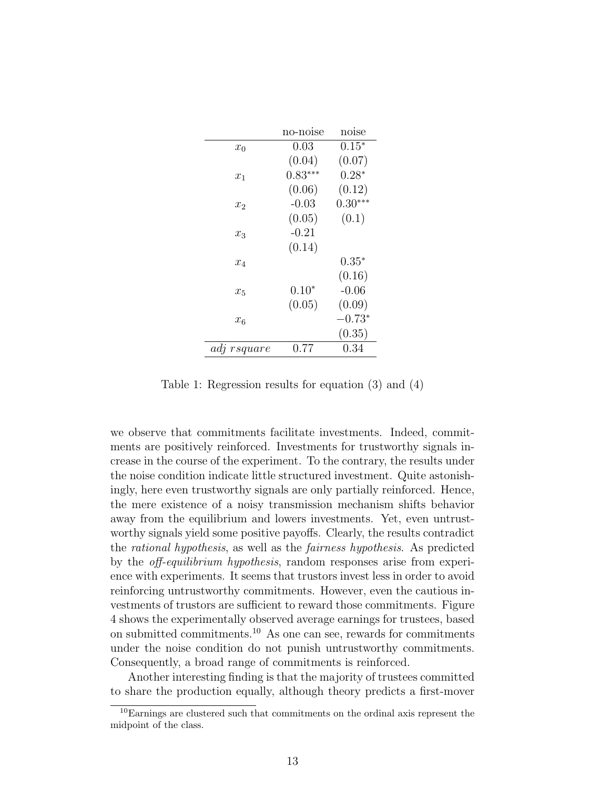|             | no-noise  | noise     |
|-------------|-----------|-----------|
| $x_0$       | 0.03      | $0.15*$   |
|             | (0.04)    | (0.07)    |
| $x_1$       | $0.83***$ | $0.28*$   |
|             | (0.06)    | (0.12)    |
| $x_2$       | $-0.03$   | $0.30***$ |
|             | (0.05)    | (0.1)     |
| $x_3$       | $-0.21$   |           |
|             | (0.14)    |           |
| $x_4$       |           | $0.35*$   |
|             |           | (0.16)    |
| $x_5$       | $0.10*$   | $-0.06$   |
|             | (0.05)    | (0.09)    |
| $x_6$       |           | $-0.73*$  |
|             |           | (0.35)    |
| adj rsquare | 0.77      | $0.34\,$  |

Table 1: Regression results for equation (3) and (4)

we observe that commitments facilitate investments. Indeed, commitments are positively reinforced. Investments for trustworthy signals increase in the course of the experiment. To the contrary, the results under the noise condition indicate little structured investment. Quite astonishingly, here even trustworthy signals are only partially reinforced. Hence, the mere existence of a noisy transmission mechanism shifts behavior away from the equilibrium and lowers investments. Yet, even untrustworthy signals yield some positive payoffs. Clearly, the results contradict the rational hypothesis, as well as the fairness hypothesis. As predicted by the off-equilibrium hypothesis, random responses arise from experience with experiments. It seems that trustors invest less in order to avoid reinforcing untrustworthy commitments. However, even the cautious investments of trustors are sufficient to reward those commitments. Figure 4 shows the experimentally observed average earnings for trustees, based on submitted commitments.<sup>10</sup> As one can see, rewards for commitments under the noise condition do not punish untrustworthy commitments. Consequently, a broad range of commitments is reinforced.

Another interesting finding is that the majority of trustees committed to share the production equally, although theory predicts a first-mover

<sup>10</sup>Earnings are clustered such that commitments on the ordinal axis represent the midpoint of the class.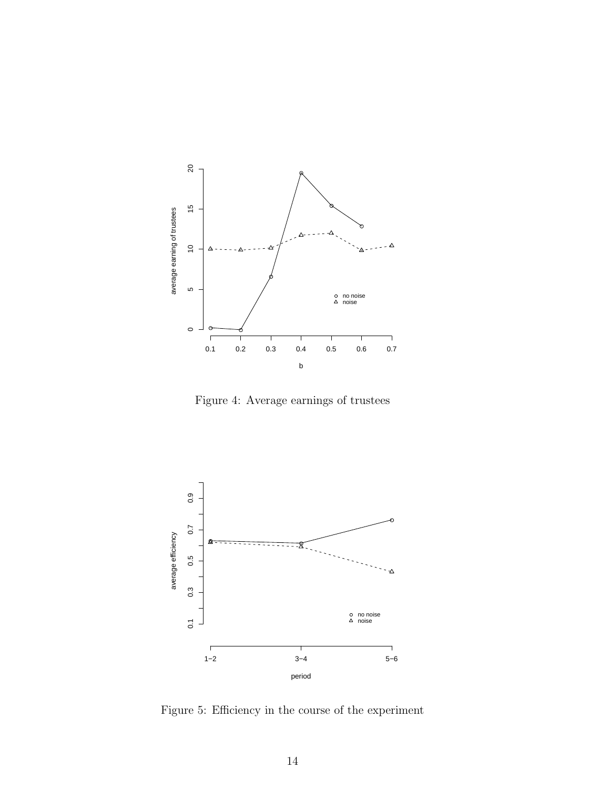

Figure 4: Average earnings of trustees



Figure 5: Efficiency in the course of the experiment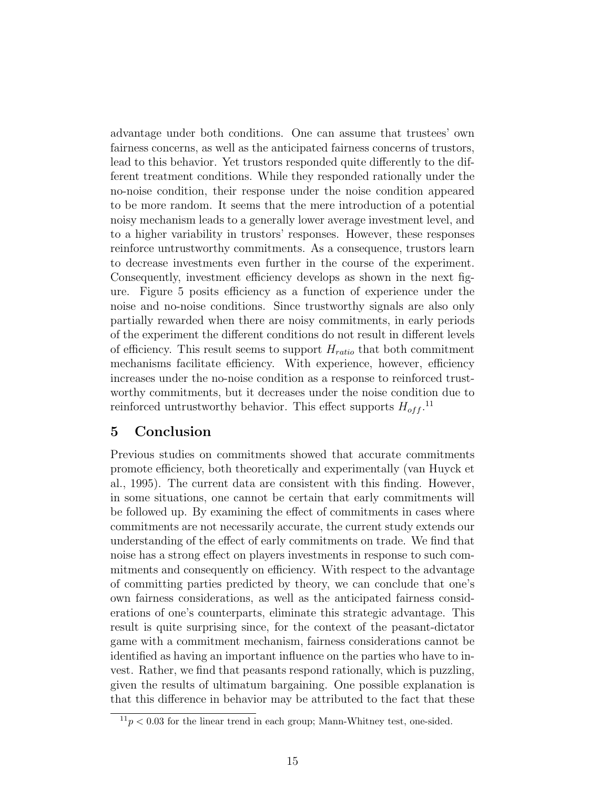advantage under both conditions. One can assume that trustees' own fairness concerns, as well as the anticipated fairness concerns of trustors, lead to this behavior. Yet trustors responded quite differently to the different treatment conditions. While they responded rationally under the no-noise condition, their response under the noise condition appeared to be more random. It seems that the mere introduction of a potential noisy mechanism leads to a generally lower average investment level, and to a higher variability in trustors' responses. However, these responses reinforce untrustworthy commitments. As a consequence, trustors learn to decrease investments even further in the course of the experiment. Consequently, investment efficiency develops as shown in the next figure. Figure 5 posits efficiency as a function of experience under the noise and no-noise conditions. Since trustworthy signals are also only partially rewarded when there are noisy commitments, in early periods of the experiment the different conditions do not result in different levels of efficiency. This result seems to support  $H_{ratio}$  that both commitment mechanisms facilitate efficiency. With experience, however, efficiency increases under the no-noise condition as a response to reinforced trustworthy commitments, but it decreases under the noise condition due to reinforced untrustworthy behavior. This effect supports  $H_{off}$ <sup>11</sup>

## 5 Conclusion

Previous studies on commitments showed that accurate commitments promote efficiency, both theoretically and experimentally (van Huyck et al., 1995). The current data are consistent with this finding. However, in some situations, one cannot be certain that early commitments will be followed up. By examining the effect of commitments in cases where commitments are not necessarily accurate, the current study extends our understanding of the effect of early commitments on trade. We find that noise has a strong effect on players investments in response to such commitments and consequently on efficiency. With respect to the advantage of committing parties predicted by theory, we can conclude that one's own fairness considerations, as well as the anticipated fairness considerations of one's counterparts, eliminate this strategic advantage. This result is quite surprising since, for the context of the peasant-dictator game with a commitment mechanism, fairness considerations cannot be identified as having an important influence on the parties who have to invest. Rather, we find that peasants respond rationally, which is puzzling, given the results of ultimatum bargaining. One possible explanation is that this difference in behavior may be attributed to the fact that these

 $11<sub>p</sub> < 0.03$  for the linear trend in each group; Mann-Whitney test, one-sided.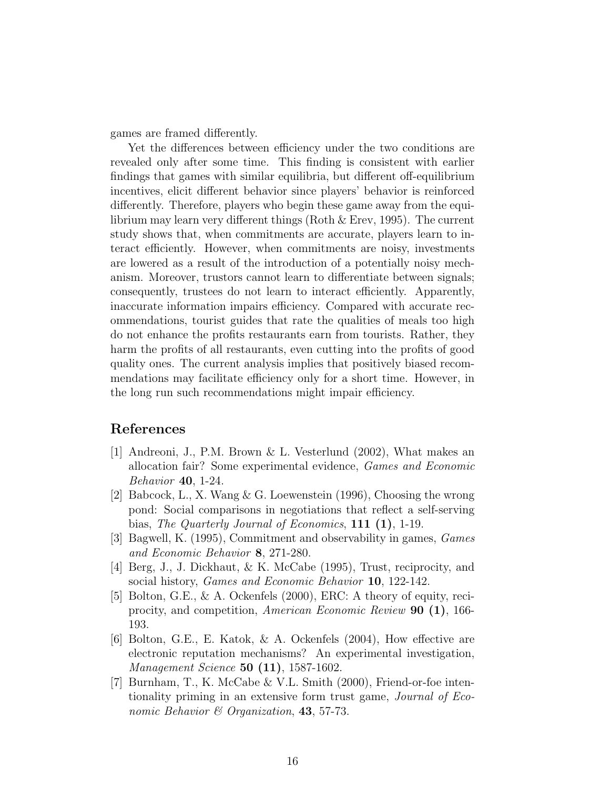games are framed differently.

Yet the differences between efficiency under the two conditions are revealed only after some time. This finding is consistent with earlier findings that games with similar equilibria, but different off-equilibrium incentives, elicit different behavior since players' behavior is reinforced differently. Therefore, players who begin these game away from the equilibrium may learn very different things (Roth & Erev, 1995). The current study shows that, when commitments are accurate, players learn to interact efficiently. However, when commitments are noisy, investments are lowered as a result of the introduction of a potentially noisy mechanism. Moreover, trustors cannot learn to differentiate between signals; consequently, trustees do not learn to interact efficiently. Apparently, inaccurate information impairs efficiency. Compared with accurate recommendations, tourist guides that rate the qualities of meals too high do not enhance the profits restaurants earn from tourists. Rather, they harm the profits of all restaurants, even cutting into the profits of good quality ones. The current analysis implies that positively biased recommendations may facilitate efficiency only for a short time. However, in the long run such recommendations might impair efficiency.

## References

- [1] Andreoni, J., P.M. Brown & L. Vesterlund (2002), What makes an allocation fair? Some experimental evidence, Games and Economic Behavior 40, 1-24.
- [2] Babcock, L., X. Wang & G. Loewenstein (1996), Choosing the wrong pond: Social comparisons in negotiations that reflect a self-serving bias, *The Quarterly Journal of Economics*, **111** (**1**), 1-19.
- [3] Bagwell, K. (1995), Commitment and observability in games, Games and Economic Behavior 8, 271-280.
- [4] Berg, J., J. Dickhaut, & K. McCabe (1995), Trust, reciprocity, and social history, *Games and Economic Behavior* 10, 122-142.
- [5] Bolton, G.E., & A. Ockenfels (2000), ERC: A theory of equity, reciprocity, and competition, American Economic Review 90 (1), 166- 193.
- [6] Bolton, G.E., E. Katok, & A. Ockenfels (2004), How effective are electronic reputation mechanisms? An experimental investigation, Management Science 50 (11), 1587-1602.
- [7] Burnham, T., K. McCabe & V.L. Smith (2000), Friend-or-foe intentionality priming in an extensive form trust game, Journal of Economic Behavior  $\mathcal C$  Organization, 43, 57-73.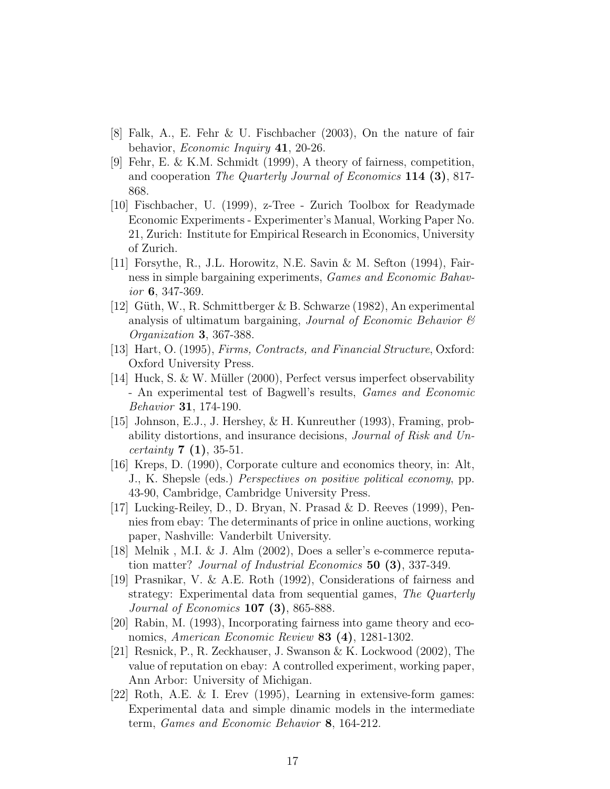- [8] Falk, A., E. Fehr & U. Fischbacher (2003), On the nature of fair behavior, Economic Inquiry 41, 20-26.
- [9] Fehr, E. & K.M. Schmidt (1999), A theory of fairness, competition, and cooperation The Quarterly Journal of Economics 114 (3), 817- 868.
- [10] Fischbacher, U. (1999), z-Tree Zurich Toolbox for Readymade Economic Experiments - Experimenter's Manual, Working Paper No. 21, Zurich: Institute for Empirical Research in Economics, University of Zurich.
- [11] Forsythe, R., J.L. Horowitz, N.E. Savin & M. Sefton (1994), Fairness in simple bargaining experiments, Games and Economic Bahavior 6, 347-369.
- [12] Güth, W., R. Schmittberger & B. Schwarze (1982), An experimental analysis of ultimatum bargaining, *Journal of Economic Behavior*  $\mathcal{C}$ Organization 3, 367-388.
- [13] Hart, O. (1995), Firms, Contracts, and Financial Structure, Oxford: Oxford University Press.
- [14] Huck, S. & W. Müller (2000), Perfect versus imperfect observability - An experimental test of Bagwell's results, Games and Economic Behavior 31, 174-190.
- [15] Johnson, E.J., J. Hershey, & H. Kunreuther (1993), Framing, probability distortions, and insurance decisions, Journal of Risk and Un*certainty* **7** (1), 35-51.
- [16] Kreps, D. (1990), Corporate culture and economics theory, in: Alt, J., K. Shepsle (eds.) Perspectives on positive political economy, pp. 43-90, Cambridge, Cambridge University Press.
- [17] Lucking-Reiley, D., D. Bryan, N. Prasad & D. Reeves (1999), Pennies from ebay: The determinants of price in online auctions, working paper, Nashville: Vanderbilt University.
- [18] Melnik , M.I. & J. Alm (2002), Does a seller's e-commerce reputation matter? Journal of Industrial Economics 50 (3), 337-349.
- [19] Prasnikar, V. & A.E. Roth (1992), Considerations of fairness and strategy: Experimental data from sequential games, The Quarterly Journal of Economics 107 (3), 865-888.
- [20] Rabin, M. (1993), Incorporating fairness into game theory and economics, American Economic Review 83 (4), 1281-1302.
- [21] Resnick, P., R. Zeckhauser, J. Swanson & K. Lockwood (2002), The value of reputation on ebay: A controlled experiment, working paper, Ann Arbor: University of Michigan.
- [22] Roth, A.E. & I. Erev (1995), Learning in extensive-form games: Experimental data and simple dinamic models in the intermediate term, Games and Economic Behavior 8, 164-212.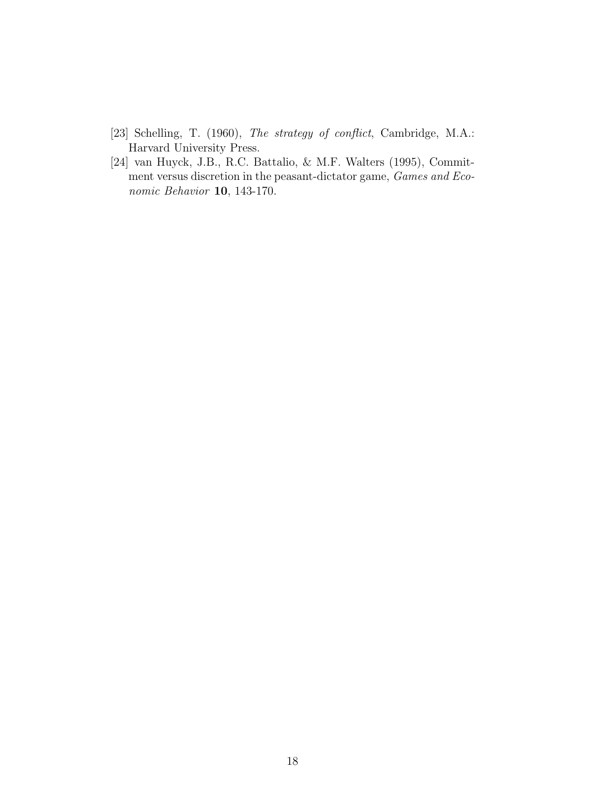- [23] Schelling, T. (1960), The strategy of conflict, Cambridge, M.A.: Harvard University Press.
- [24] van Huyck, J.B., R.C. Battalio, & M.F. Walters (1995), Commitment versus discretion in the peasant-dictator game, Games and Economic Behavior 10, 143-170.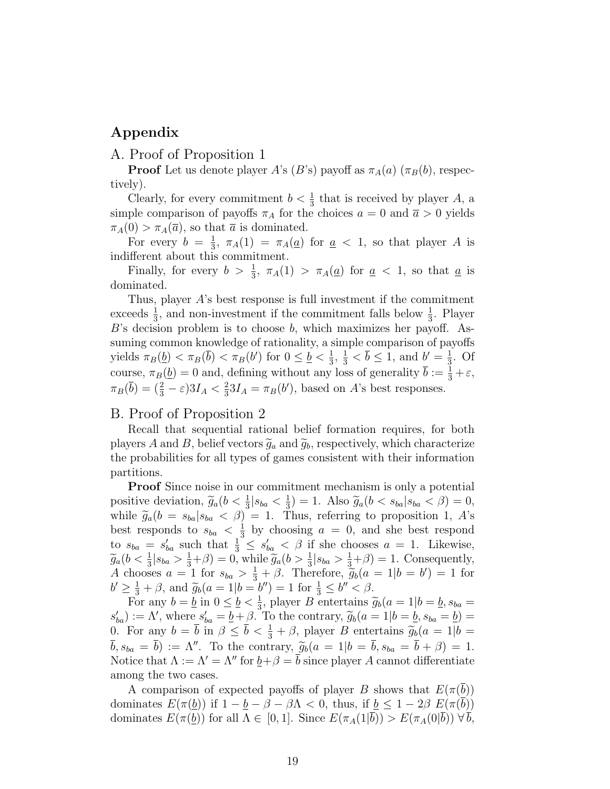## Appendix

### A. Proof of Proposition 1

**Proof** Let us denote player A's (B's) payoff as  $\pi_A(a)$  ( $\pi_B(b)$ , respectively).

Clearly, for every commitment  $b < \frac{1}{3}$  that is received by player A, a simple comparison of payoffs  $\pi_A$  for the choices  $a = 0$  and  $\bar{a} > 0$  yields  $\pi_A(0) > \pi_A(\overline{a})$ , so that  $\overline{a}$  is dominated.

For every  $b = \frac{1}{3}$  $\frac{1}{3}$ ,  $\pi_A(1) = \pi_A(\underline{a})$  for  $\underline{a} < 1$ , so that player A is indifferent about this commitment.

Finally, for every  $b > \frac{1}{3}$ ,  $\pi_A(1) > \pi_A(\underline{a})$  for  $\underline{a} < 1$ , so that  $\underline{a}$  is dominated.

Thus, player A's best response is full investment if the commitment exceeds  $\frac{1}{3}$ , and non-investment if the commitment falls below  $\frac{1}{3}$ . Player B's decision problem is to choose b, which maximizes her payoff. Assuming common knowledge of rationality, a simple comparison of payoffs yields  $\pi_B(\underline{b}) < \pi_B(\overline{b}) < \pi_B(b')$  for  $0 \leq \underline{b} < \frac{1}{3}$  $\frac{1}{3}$ ,  $\frac{1}{3}$  <  $\overline{b}$   $\leq$  1, and  $b' = \frac{1}{3}$  $\frac{1}{3}$ . Of course,  $\pi_B(\underline{b}) = 0$  and, defining without any loss of generality  $\bar{b} := \frac{1}{3} + \varepsilon$ ,  $\pi_B(\bar{b}) = (\frac{2}{3} - \varepsilon)3I_A < \frac{2}{3}$  $\frac{2}{3}3I_A = \pi_B(b')$ , based on A's best responses.

#### B. Proof of Proposition 2

Recall that sequential rational belief formation requires, for both players A and B, belief vectors  $\tilde{g}_a$  and  $\tilde{g}_b$ , respectively, which characterize the probabilities for all types of games consistent with their information partitions.

Proof Since noise in our commitment mechanism is only a potential positive deviation,  $\widetilde{g}_a(b < \frac{1}{3} | s_{ba} < \frac{1}{3})$ <br>while  $\widetilde{g}_a(b = \varepsilon_b | s_{ba} < \beta) = 1$  $\frac{1}{3}$  = 1. Also  $\widetilde{g}_a(b < s_{ba} | s_{ba} < \beta) = 0$ ,<br>Thus referring to proposition 1  $A$ 's while  $\tilde{g}_a(b = s_{ba} | s_{ba} < \beta) = 1$ . Thus, referring to proposition 1, A's best responds to  $s_{ba} < \frac{1}{3}$  $\frac{1}{3}$  by choosing  $a = 0$ , and she best respond to  $s_{ba} = s'_{ba}$  such that  $\frac{1}{3} \leq s'_{ba} < \beta$  if she chooses  $a = 1$ . Likewise,  $\widetilde{g}_a(b < \frac{1}{3}|s_{ba} > \frac{1}{3}+\beta) = 0$ , while  $\widetilde{g}_a(b > \frac{1}{3}|s_{ba} > \frac{1}{3}+\beta) = 1$ . Consequently, A chooses  $a = 1$  for  $s_{ba} > \frac{1}{3} + \beta$ . Therefore,  $\widetilde{g}_b(a = 1|b = b') = 1$  for  $b' > 1 + \beta$  and  $\widetilde{g}_b(a = 1|b = b'') = 1$  for  $\frac{1}{2} < b'' < \beta$  $b' \geq \frac{1}{3} + \beta$ , and  $\widetilde{g}_b(a = 1|b = b'') = 1$  for  $\frac{1}{3} \leq b'' < \beta$ .<br>For any  $b = b$  in  $0 \leq b < 1$ , player B ortertains

For any  $b = \underline{b}$  in  $0 \leq \underline{b} < \frac{1}{3}$ <sup>1</sup>/<sub>3</sub>, player *B* entertains  $\widetilde{g}_b(a=1|b=b,s_{ba}=0)$  $s'_{ba}$  := Λ', where  $s'_{ba} = \underline{b} + \beta$ . To the contrary,  $\widetilde{g}_b(a = 1 | b = \underline{b}, s_{ba} = \underline{b}) =$ <br>0. For any  $b = \overline{b}$  in  $\beta < \overline{b} < \frac{1}{2} + \beta$ , player B entertains  $\widetilde{g}_b(a = 1 | b =$ 0. For any  $b = \overline{b}$  in  $\beta \leq \overline{b} < \frac{1}{3} + \beta$ , player B entertains  $\widetilde{g}_b(a = 1 | b = \overline{b})$  $\bar{b}, s_{ba} = \bar{b}$  :=  $\Lambda''$ . To the contrary,  $\widetilde{g}_b(a = 1|b = \bar{b}, s_{ba} = \bar{b} + \beta) = 1$ . Notice that  $\Lambda := \Lambda' = \Lambda''$  for  $\underline{b} + \beta = b$  since player A cannot differentiate among the two cases.

A comparison of expected payoffs of player B shows that  $E(\pi(b))$ dominates  $E(\pi(\underline{b}))$  if  $1 - \underline{b} - \beta - \beta \Lambda < 0$ , thus, if  $\underline{b} \leq 1 - 2\beta E(\pi(\overline{b}))$ dominates  $E(\pi(b))$  for all  $\Lambda \in [0,1]$ . Since  $E(\pi_A(1|b)) > E(\pi_A(0|b)) \forall b$ ,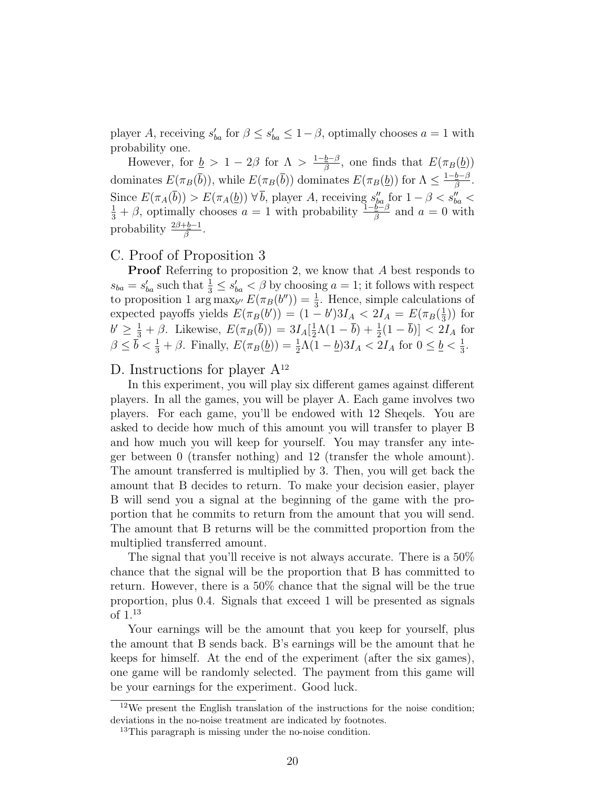player A, receiving  $s'_{ba}$  for  $\beta \leq s'_{ba} \leq 1-\beta$ , optimally chooses  $a=1$  with probability one.

However, for  $\underline{b} > 1 - 2\beta$  for  $\Lambda > \frac{1 - \underline{b} - \beta}{\beta}$  $\frac{\underline{b}-\beta}{\beta}$ , one finds that  $E(\pi_B(\underline{b}))$ dominates  $E(\pi_B(\bar{b}))$ , while  $E(\pi_B(\bar{b}))$  dominates  $E(\pi_B(\underline{b}))$  for  $\Lambda \leq \frac{1-\underline{b}-\beta}{\beta}$  $\frac{\underline{b}-\beta}{\beta}$  . Since  $E(\pi_A(\bar{b})) > E(\pi_A(\underline{b})) \ \forall \bar{b}$ , player A, receiving  $s''_{ba}$  for  $1 - \beta < s''_{ba} < \frac{1}{3} + \beta$ , optimally chooses  $a = 1$  with probability  $\frac{1 - b - \beta}{\beta}$  and  $a = 0$  with probability  $\frac{2\beta + b - 1}{\beta}$ .

### C. Proof of Proposition 3

Proof Referring to proposition 2, we know that A best responds to  $s_{ba} = s'_{ba}$  such that  $\frac{1}{3} \leq s'_{ba} < \beta$  by choosing  $a = 1$ ; it follows with respect to proposition 1 arg  $\max_{b''} E(\pi_B(b'')) = \frac{1}{3}$ . Hence, simple calculations of expected payoffs yields  $E(\pi_B(b')) = (1-b')3I_A < 2I_A = E(\pi_B(\frac{1}{3}))$  $(\frac{1}{3})$  for  $b' \geq \frac{1}{3} + \beta$ . Likewise,  $E(\pi_B(\overline{b})) = 3I_A[\frac{1}{2}]$  $\frac{1}{2}\Lambda(1-\bar{b})+\frac{1}{2}(1-\bar{b})] < 2I_A$  for  $\beta \leq \bar{b} < \frac{1}{3} + \beta$ . Finally,  $E(\pi_B(\underline{b})) = \frac{1}{2}\Lambda(1-\underline{b})3I_A < 2I_A$  for  $0 \leq \underline{b} < \frac{1}{3}$  $\frac{1}{3}$ .

#### D. Instructions for player  $A^{12}$

In this experiment, you will play six different games against different players. In all the games, you will be player A. Each game involves two players. For each game, you'll be endowed with 12 Sheqels. You are asked to decide how much of this amount you will transfer to player B and how much you will keep for yourself. You may transfer any integer between 0 (transfer nothing) and 12 (transfer the whole amount). The amount transferred is multiplied by 3. Then, you will get back the amount that B decides to return. To make your decision easier, player B will send you a signal at the beginning of the game with the proportion that he commits to return from the amount that you will send. The amount that B returns will be the committed proportion from the multiplied transferred amount.

The signal that you'll receive is not always accurate. There is a 50% chance that the signal will be the proportion that B has committed to return. However, there is a 50% chance that the signal will be the true proportion, plus 0.4. Signals that exceed 1 will be presented as signals of 1.<sup>13</sup>

Your earnings will be the amount that you keep for yourself, plus the amount that B sends back. B's earnings will be the amount that he keeps for himself. At the end of the experiment (after the six games), one game will be randomly selected. The payment from this game will be your earnings for the experiment. Good luck.

<sup>12</sup>We present the English translation of the instructions for the noise condition; deviations in the no-noise treatment are indicated by footnotes.

<sup>13</sup>This paragraph is missing under the no-noise condition.